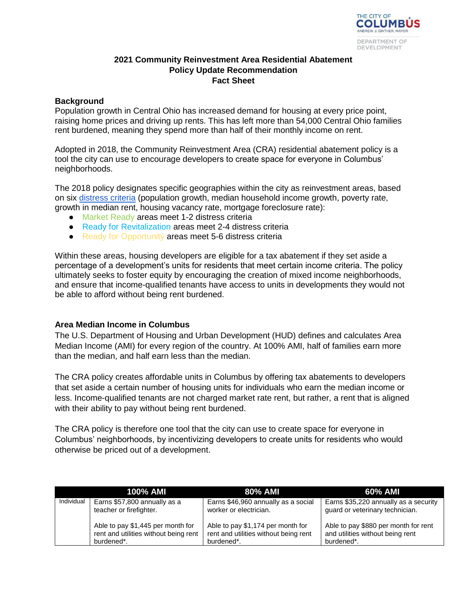

## **2021 Community Reinvestment Area Residential Abatement Policy Update Recommendation Fact Sheet**

## **Background**

Population growth in Central Ohio has increased demand for housing at every price point, raising home prices and driving up rents. This has left more than 54,000 Central Ohio families rent burdened, meaning they spend more than half of their monthly income on rent.

Adopted in 2018, the Community Reinvestment Area (CRA) residential abatement policy is a tool the city can use to encourage developers to create space for everyone in Columbus' neighborhoods.

The 2018 policy designates specific geographies within the city as reinvestment areas, based on six [distress criteria](https://www.columbus.gov/Templates/Detail.aspx?id=2147506201) (population growth, median household income growth, poverty rate, growth in median rent, housing vacancy rate, mortgage foreclosure rate):

- Market Ready areas meet 1-2 distress criteria
- Ready for Revitalization areas meet 2-4 distress criteria
- Ready for Opportunity areas meet 5-6 distress criteria

Within these areas, housing developers are eligible for a tax abatement if they set aside a percentage of a development's units for residents that meet certain income criteria. The policy ultimately seeks to foster equity by encouraging the creation of mixed income neighborhoods, and ensure that income-qualified tenants have access to units in developments they would not be able to afford without being rent burdened.

### **Area Median Income in Columbus**

The U.S. Department of Housing and Urban Development (HUD) defines and calculates Area Median Income (AMI) for every region of the country. At 100% AMI, half of families earn more than the median, and half earn less than the median.

The CRA policy creates affordable units in Columbus by offering tax abatements to developers that set aside a certain number of housing units for individuals who earn the median income or less. Income-qualified tenants are not charged market rate rent, but rather, a rent that is aligned with their ability to pay without being rent burdened.

The CRA policy is therefore one tool that the city can use to create space for everyone in Columbus' neighborhoods, by incentivizing developers to create units for residents who would otherwise be priced out of a development.

|            | 100% AMI                              | 80% AMI                               | 60% AMI                               |
|------------|---------------------------------------|---------------------------------------|---------------------------------------|
| Individual | Earns \$57,800 annually as a          | Earns \$46,960 annually as a social   | Earns \$35,220 annually as a security |
|            | teacher or firefighter.               | worker or electrician.                | guard or veterinary technician.       |
|            | Able to pay \$1,445 per month for     | Able to pay \$1,174 per month for     | Able to pay \$880 per month for rent  |
|            | rent and utilities without being rent | rent and utilities without being rent | and utilities without being rent      |
|            | burdened*.                            | burdened*.                            | burdened*.                            |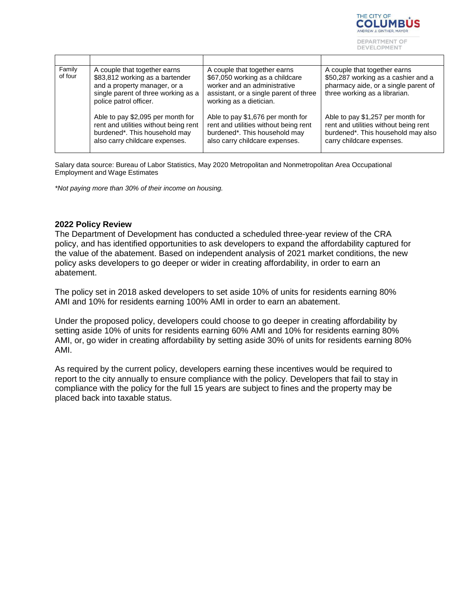

| Family<br>of four | A couple that together earns<br>\$83,812 working as a bartender<br>and a property manager, or a<br>single parent of three working as a<br>police patrol officer. | A couple that together earns<br>\$67,050 working as a childcare<br>worker and an administrative<br>assistant, or a single parent of three<br>working as a dietician. | A couple that together earns<br>\$50,287 working as a cashier and a<br>pharmacy aide, or a single parent of<br>three working as a librarian.  |
|-------------------|------------------------------------------------------------------------------------------------------------------------------------------------------------------|----------------------------------------------------------------------------------------------------------------------------------------------------------------------|-----------------------------------------------------------------------------------------------------------------------------------------------|
|                   | Able to pay \$2,095 per month for<br>rent and utilities without being rent<br>burdened*. This household may<br>also carry childcare expenses.                    | Able to pay \$1,676 per month for<br>rent and utilities without being rent<br>burdened*. This household may<br>also carry childcare expenses.                        | Able to pay \$1,257 per month for<br>rent and utilities without being rent<br>burdened*. This household may also<br>carry childcare expenses. |

Salary data source: Bureau of Labor Statistics, May 2020 Metropolitan and Nonmetropolitan Area Occupational Employment and Wage Estimates

*\*Not paying more than 30% of their income on housing.*

#### **2022 Policy Review**

The Department of Development has conducted a scheduled three-year review of the CRA policy, and has identified opportunities to ask developers to expand the affordability captured for the value of the abatement. Based on independent analysis of 2021 market conditions, the new policy asks developers to go deeper or wider in creating affordability, in order to earn an abatement.

The policy set in 2018 asked developers to set aside 10% of units for residents earning 80% AMI and 10% for residents earning 100% AMI in order to earn an abatement.

Under the proposed policy, developers could choose to go deeper in creating affordability by setting aside 10% of units for residents earning 60% AMI and 10% for residents earning 80% AMI, or, go wider in creating affordability by setting aside 30% of units for residents earning 80% AMI.

As required by the current policy, developers earning these incentives would be required to report to the city annually to ensure compliance with the policy. Developers that fail to stay in compliance with the policy for the full 15 years are subject to fines and the property may be placed back into taxable status.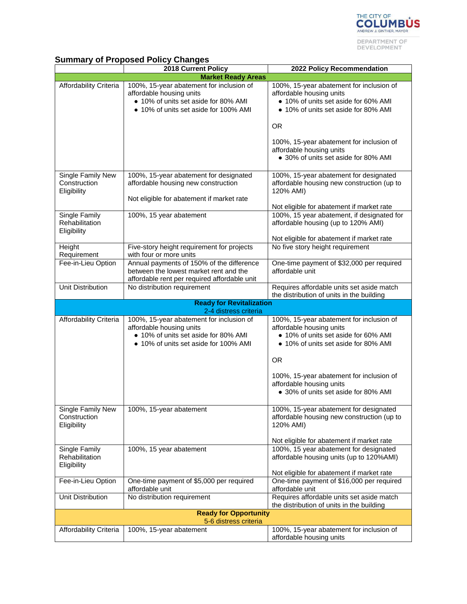

# **Summary of Proposed Policy Changes**

|                                                  | 2018 Current Policy                                                                                                                                                            | 2022 Policy Recommendation                                                                                                                           |  |  |
|--------------------------------------------------|--------------------------------------------------------------------------------------------------------------------------------------------------------------------------------|------------------------------------------------------------------------------------------------------------------------------------------------------|--|--|
|                                                  | <b>Market Ready Areas</b>                                                                                                                                                      |                                                                                                                                                      |  |  |
| Affordability Criteria                           | 100%, 15-year abatement for inclusion of<br>affordable housing units<br>• 10% of units set aside for 80% AMI<br>• 10% of units set aside for 100% AMI                          | 100%, 15-year abatement for inclusion of<br>affordable housing units<br>• 10% of units set aside for 60% AMI<br>• 10% of units set aside for 80% AMI |  |  |
|                                                  |                                                                                                                                                                                | <b>OR</b>                                                                                                                                            |  |  |
|                                                  |                                                                                                                                                                                | 100%, 15-year abatement for inclusion of<br>affordable housing units<br>• 30% of units set aside for 80% AMI                                         |  |  |
| Single Family New<br>Construction<br>Eligibility | 100%, 15-year abatement for designated<br>affordable housing new construction                                                                                                  | 100%, 15-year abatement for designated<br>affordable housing new construction (up to<br>120% AMI)                                                    |  |  |
|                                                  | Not eligible for abatement if market rate                                                                                                                                      | Not eligible for abatement if market rate                                                                                                            |  |  |
| Single Family<br>Rehabilitation<br>Eligibility   | 100%, 15 year abatement                                                                                                                                                        | 100%, 15 year abatement, if designated for<br>affordable housing (up to 120% AMI)                                                                    |  |  |
|                                                  |                                                                                                                                                                                | Not eligible for abatement if market rate                                                                                                            |  |  |
| Height<br>Requirement                            | Five-story height requirement for projects<br>with four or more units                                                                                                          | No five story height requirement                                                                                                                     |  |  |
| Fee-in-Lieu Option                               | Annual payments of 150% of the difference<br>between the lowest market rent and the<br>affordable rent per required affordable unit                                            | One-time payment of \$32,000 per required<br>affordable unit                                                                                         |  |  |
| Unit Distribution                                | No distribution requirement                                                                                                                                                    | Requires affordable units set aside match<br>the distribution of units in the building                                                               |  |  |
|                                                  | <b>Ready for Revitalization</b>                                                                                                                                                |                                                                                                                                                      |  |  |
| Affordability Criteria                           | 2-4 distress criteria<br>100%, 15-year abatement for inclusion of<br>affordable housing units<br>• 10% of units set aside for 80% AMI<br>• 10% of units set aside for 100% AMI | 100%, 15-year abatement for inclusion of<br>affordable housing units<br>• 10% of units set aside for 60% AMI<br>• 10% of units set aside for 80% AMI |  |  |
|                                                  |                                                                                                                                                                                | <b>OR</b>                                                                                                                                            |  |  |
|                                                  |                                                                                                                                                                                | 100%, 15-year abatement for inclusion of<br>affordable housing units<br>• 30% of units set aside for 80% AMI                                         |  |  |
|                                                  |                                                                                                                                                                                |                                                                                                                                                      |  |  |
| Single Family New<br>Construction<br>Eligibility | 100%, 15-year abatement                                                                                                                                                        | 100%, 15-year abatement for designated<br>affordable housing new construction (up to<br>120% AMI)                                                    |  |  |
|                                                  |                                                                                                                                                                                | Not eligible for abatement if market rate                                                                                                            |  |  |
| Single Family<br>Rehabilitation<br>Eligibility   | 100%, 15 year abatement                                                                                                                                                        | 100%, 15 year abatement for designated<br>affordable housing units (up to 120%AMI)                                                                   |  |  |
| Fee-in-Lieu Option                               | One-time payment of \$5,000 per required<br>affordable unit                                                                                                                    | Not eligible for abatement if market rate<br>One-time payment of \$16,000 per required<br>affordable unit                                            |  |  |
| Unit Distribution                                | No distribution requirement                                                                                                                                                    | Requires affordable units set aside match<br>the distribution of units in the building                                                               |  |  |
| <b>Ready for Opportunity</b>                     |                                                                                                                                                                                |                                                                                                                                                      |  |  |
| Affordability Criteria                           | 5-6 distress criteria<br>100%, 15-year abatement                                                                                                                               | 100%, 15-year abatement for inclusion of                                                                                                             |  |  |
|                                                  |                                                                                                                                                                                | affordable housing units                                                                                                                             |  |  |